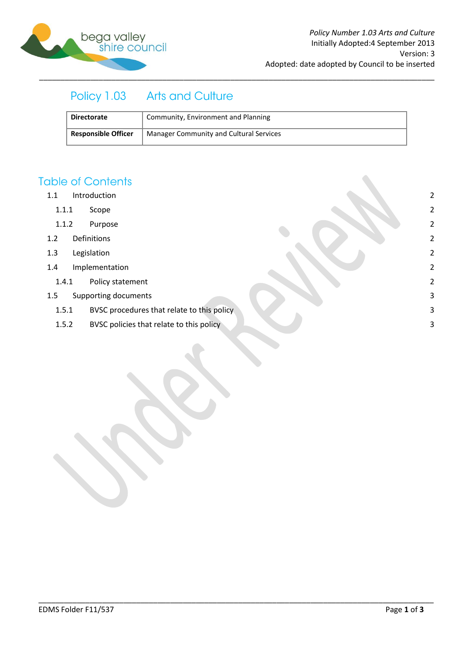

# Policy 1.03 Arts and Culture

| <b>Directorate</b>         | Community, Environment and Planning     |
|----------------------------|-----------------------------------------|
| <b>Responsible Officer</b> | Manager Community and Cultural Services |

\_\_\_\_\_\_\_\_\_\_\_\_\_\_\_\_\_\_\_\_\_\_\_\_\_\_\_\_\_\_\_\_\_\_\_\_\_\_\_\_\_\_\_\_\_\_\_\_\_\_\_\_\_\_\_\_\_\_\_\_\_\_\_\_\_\_\_\_\_\_\_\_\_\_\_\_\_\_\_\_\_\_\_\_\_\_\_\_\_\_\_\_\_

### **Table of Contents**

- 1.1 [Introduction](#page-1-0) 2
	- 1.1.1 [Scope](#page-1-1) 2
	- 1.1.2 [Purpose](#page-1-2) 2
- 1.2 [Definitions](#page-1-3) 2
- 1.3 [Legislation](#page-1-4) 2
- 1.4 [Implementation](#page-1-5) 2
	- 1.4.1 [Policy statement](#page-1-6) 2
- 1.5 [Supporting documents](#page-2-0) 3
	- 1.5.1 [BVSC procedures that relate to this policy](#page-2-1) 3
	- 1.5.2 [BVSC policies that relate to this policy](#page-2-2) and the set of the set of the set of the set of the set of the set of the set of the set of the set of the set of the set of the set of the set of the set of the set of the se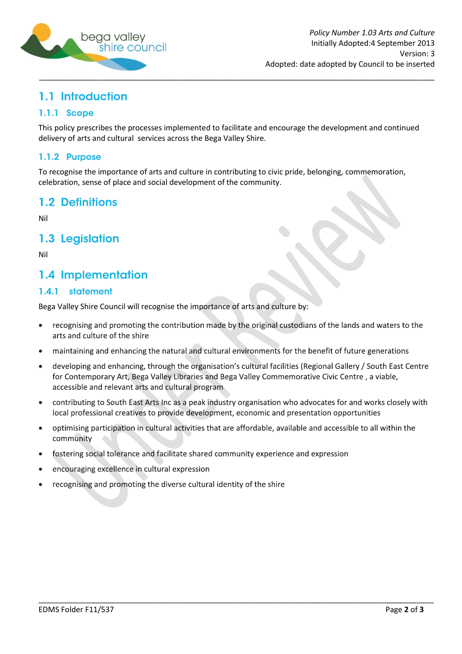

## <span id="page-1-0"></span>1.1 Introduction

### <span id="page-1-1"></span>1.1.1 Scope

This policy prescribes the processes implemented to facilitate and encourage the development and continued delivery of arts and cultural services across the Bega Valley Shire.

### <span id="page-1-2"></span>1.1.2 Purpose

To recognise the importance of arts and culture in contributing to civic pride, belonging, commemoration, celebration, sense of place and social development of the community.

### <span id="page-1-3"></span>1.2 Definitions

Nil

### <span id="page-1-4"></span>1.3 Legislation

Nil

## <span id="page-1-5"></span>1.4 Implementation

#### <span id="page-1-6"></span>1.4.1 statement

Bega Valley Shire Council will recognise the importance of arts and culture by:

- recognising and promoting the contribution made by the original custodians of the lands and waters to the arts and culture of the shire
- maintaining and enhancing the natural and cultural environments for the benefit of future generations
- developing and enhancing, through the organisation's cultural facilities (Regional Gallery / South East Centre for Contemporary Art, Bega Valley Libraries and Bega Valley Commemorative Civic Centre, a viable, accessible and relevant arts and cultural program
- contributing to South East Arts Inc as a peak industry organisation who advocates for and works closely with  $\bullet$ local professional creatives to provide development, economic and presentation opportunities

\_\_\_\_\_\_\_\_\_\_\_\_\_\_\_\_\_\_\_\_\_\_\_\_\_\_\_\_\_\_\_\_\_\_\_\_\_\_\_\_\_\_\_\_\_\_\_\_\_\_\_\_\_\_\_\_\_\_\_\_\_\_\_\_\_\_\_\_\_\_\_\_\_\_\_\_\_\_\_\_\_\_\_\_\_\_\_\_\_\_\_\_\_

- optimising participation in cultural activities that are affordable, available and accessible to all within the community
- fostering social tolerance and facilitate shared community experience and expression
- encouraging excellence in cultural expression
- recognising and promoting the diverse cultural identity of the shire  $\bullet$